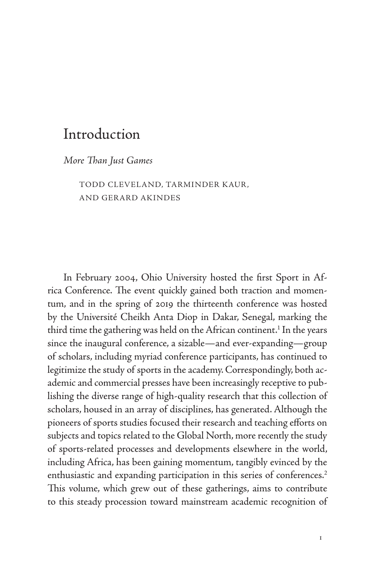# Introduction

*More Than Just Games*

TODD CLEVELAND, TARMINDER KAUR , AND GERARD AKINDES

In February 2004, Ohio University hosted the first Sport in Africa Conference. The event quickly gained both traction and momentum, and in the spring of 2019 the thirteenth conference was hosted by the Université Cheikh Anta Diop in Dakar, Senegal, marking the third time the gathering was held on the African continent.<sup>1</sup> In the years since the inaugural conference, a sizable—and ever-expanding—group of scholars, including myriad conference participants, has continued to legitimize the study of sports in the academy. Correspondingly, both academic and commercial presses have been increasingly receptive to publishing the diverse range of high-quality research that this collection of scholars, housed in an array of disciplines, has generated. Although the pioneers of sports studies focused their research and teaching efforts on subjects and topics related to the Global North, more recently the study of sports-related processes and developments elsewhere in the world, including Africa, has been gaining momentum, tangibly evinced by the enthusiastic and expanding participation in this series of conferences.<sup>2</sup> This volume, which grew out of these gatherings, aims to contribute to this steady procession toward mainstream academic recognition of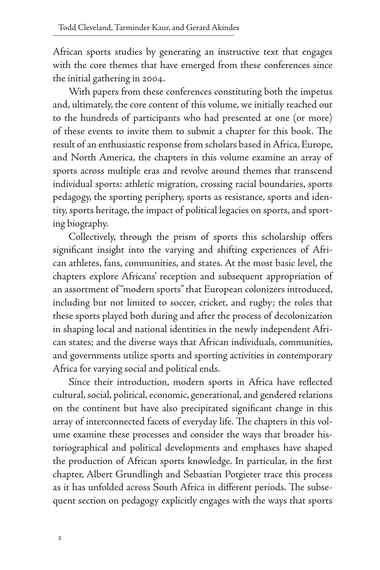African sports studies by generating an instructive text that engages with the core themes that have emerged from these conferences since the initial gathering in 2004.

With papers from these conferences constituting both the impetus and, ultimately, the core content of this volume, we initially reached out to the hundreds of participants who had presented at one (or more) of these events to invite them to submit a chapter for this book. The result of an enthusiastic response from scholars based in Africa, Europe, and North America, the chapters in this volume examine an array of sports across multiple eras and revolve around themes that transcend individual sports: athletic migration, crossing racial boundaries, sports pedagogy, the sporting periphery, sports as resistance, sports and identity, sports heritage, the impact of political legacies on sports, and sporting biography.

Collectively, through the prism of sports this scholarship offers significant insight into the varying and shifting experiences of African athletes, fans, communities, and states. At the most basic level, the chapters explore Africans' reception and subsequent appropriation of an assortment of "modern sports" that European colonizers introduced, including but not limited to soccer, cricket, and rugby; the roles that these sports played both during and after the process of decolonization in shaping local and national identities in the newly independent African states; and the diverse ways that African individuals, communities, and governments utilize sports and sporting activities in contemporary Africa for varying social and political ends.

Since their introduction, modern sports in Africa have reflected cultural, social, political, economic, generational, and gendered relations on the continent but have also precipitated significant change in this array of interconnected facets of everyday life. The chapters in this volume examine these processes and consider the ways that broader historiographical and political developments and emphases have shaped the production of African sports knowledge. In particular, in the first chapter, Albert Grundlingh and Sebastian Potgieter trace this process as it has unfolded across South Africa in different periods. The subsequent section on pedagogy explicitly engages with the ways that sports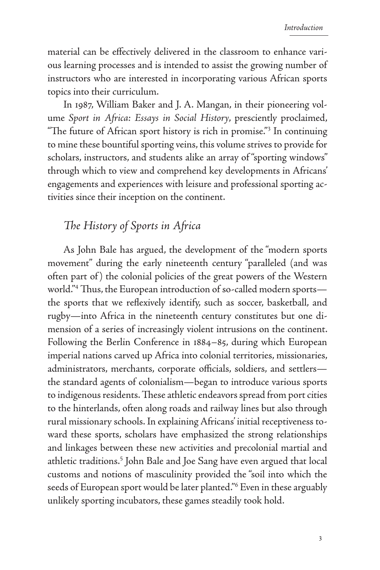material can be effectively delivered in the classroom to enhance various learning processes and is intended to assist the growing number of instructors who are interested in incorporating various African sports topics into their curriculum.

In 1987, William Baker and J. A. Mangan, in their pioneering volume *Sport in Africa: Essays in Social History*, presciently proclaimed, "The future of African sport history is rich in promise."3 In continuing to mine these bountiful sporting veins, this volume strives to provide for scholars, instructors, and students alike an array of "sporting windows" through which to view and comprehend key developments in Africans' engagements and experiences with leisure and professional sporting activities since their inception on the continent.

#### *The History of Sports in Africa*

As John Bale has argued, the development of the "modern sports movement" during the early nineteenth century "paralleled (and was often part of ) the colonial policies of the great powers of the Western world."4 Thus, the European introduction of so-called modern sports the sports that we reflexively identify, such as soccer, basketball, and rugby—into Africa in the nineteenth century constitutes but one dimension of a series of increasingly violent intrusions on the continent. Following the Berlin Conference in 1884–85, during which European imperial nations carved up Africa into colonial territories, missionaries, administrators, merchants, corporate officials, soldiers, and settlers the standard agents of colonialism—began to introduce various sports to indigenous residents. These athletic endeavors spread from port cities to the hinterlands, often along roads and railway lines but also through rural missionary schools. In explaining Africans' initial receptiveness toward these sports, scholars have emphasized the strong relationships and linkages between these new activities and precolonial martial and athletic traditions.<sup>5</sup> John Bale and Joe Sang have even argued that local customs and notions of masculinity provided the "soil into which the seeds of European sport would be later planted."6 Even in these arguably unlikely sporting incubators, these games steadily took hold.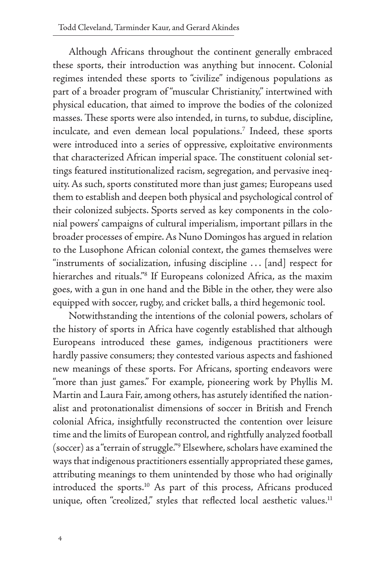Although Africans throughout the continent generally embraced these sports, their introduction was anything but innocent. Colonial regimes intended these sports to "civilize" indigenous populations as part of a broader program of "muscular Christianity," intertwined with physical education, that aimed to improve the bodies of the colonized masses. These sports were also intended, in turns, to subdue, discipline, inculcate, and even demean local populations.<sup>7</sup> Indeed, these sports were introduced into a series of oppressive, exploitative environments that characterized African imperial space. The constituent colonial settings featured institutionalized racism, segregation, and pervasive inequity. As such, sports constituted more than just games; Europeans used them to establish and deepen both physical and psychological control of their colonized subjects. Sports served as key components in the colonial powers' campaigns of cultural imperialism, important pillars in the broader processes of empire. As Nuno Domingos has argued in relation to the Lusophone African colonial context, the games themselves were "instruments of socialization, infusing discipline . . . [and] respect for hierarches and rituals."8 If Europeans colonized Africa, as the maxim goes, with a gun in one hand and the Bible in the other, they were also equipped with soccer, rugby, and cricket balls, a third hegemonic tool.

Notwithstanding the intentions of the colonial powers, scholars of the history of sports in Africa have cogently established that although Europeans introduced these games, indigenous practitioners were hardly passive consumers; they contested various aspects and fashioned new meanings of these sports. For Africans, sporting endeavors were "more than just games." For example, pioneering work by Phyllis M. Martin and Laura Fair, among others, has astutely identified the nationalist and protonationalist dimensions of soccer in British and French colonial Africa, insightfully reconstructed the contention over leisure time and the limits of European control, and rightfully analyzed football (soccer) as a "terrain of struggle."9 Elsewhere, scholars have examined the ways that indigenous practitioners essentially appropriated these games, attributing meanings to them unintended by those who had originally introduced the sports.10 As part of this process, Africans produced unique, often "creolized," styles that reflected local aesthetic values.<sup>11</sup>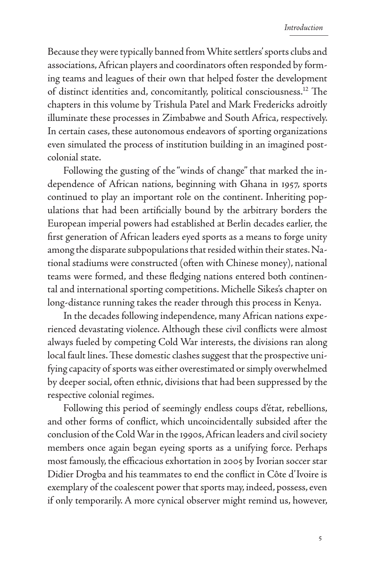Because they were typically banned from White settlers' sports clubs and associations, African players and coordinators often responded by forming teams and leagues of their own that helped foster the development of distinct identities and, concomitantly, political consciousness.12 The chapters in this volume by Trishula Patel and Mark Fredericks adroitly illuminate these processes in Zimbabwe and South Africa, respectively. In certain cases, these autonomous endeavors of sporting organizations even simulated the process of institution building in an imagined postcolonial state.

Following the gusting of the "winds of change" that marked the independence of African nations, beginning with Ghana in 1957, sports continued to play an important role on the continent. Inheriting populations that had been artificially bound by the arbitrary borders the European imperial powers had established at Berlin decades earlier, the first generation of African leaders eyed sports as a means to forge unity among the disparate subpopulations that resided within their states. National stadiums were constructed (often with Chinese money), national teams were formed, and these fledging nations entered both continental and international sporting competitions. Michelle Sikes's chapter on long-distance running takes the reader through this process in Kenya.

In the decades following independence, many African nations experienced devastating violence. Although these civil conflicts were almost always fueled by competing Cold War interests, the divisions ran along local fault lines. These domestic clashes suggest that the prospective unifying capacity of sports was either overestimated or simply overwhelmed by deeper social, often ethnic, divisions that had been suppressed by the respective colonial regimes.

Following this period of seemingly endless coups d'état, rebellions, and other forms of conflict, which uncoincidentally subsided after the conclusion of the Cold War in the 1990s, African leaders and civil society members once again began eyeing sports as a unifying force. Perhaps most famously, the efficacious exhortation in 2005 by Ivorian soccer star Didier Drogba and his teammates to end the conflict in Côte d'Ivoire is exemplary of the coalescent power that sports may, indeed, possess, even if only temporarily. A more cynical observer might remind us, however,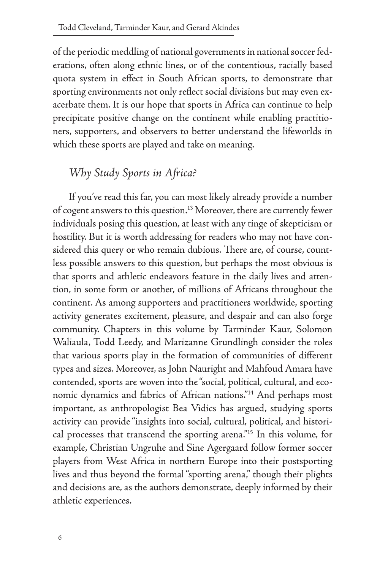of the periodic meddling of national governments in national soccer federations, often along ethnic lines, or of the contentious, racially based quota system in effect in South African sports, to demonstrate that sporting environments not only reflect social divisions but may even exacerbate them. It is our hope that sports in Africa can continue to help precipitate positive change on the continent while enabling practitioners, supporters, and observers to better understand the lifeworlds in which these sports are played and take on meaning.

## *Why Study Sports in Africa?*

If you've read this far, you can most likely already provide a number of cogent answers to this question.<sup>13</sup> Moreover, there are currently fewer individuals posing this question, at least with any tinge of skepticism or hostility. But it is worth addressing for readers who may not have considered this query or who remain dubious. There are, of course, countless possible answers to this question, but perhaps the most obvious is that sports and athletic endeavors feature in the daily lives and attention, in some form or another, of millions of Africans throughout the continent. As among supporters and practitioners worldwide, sporting activity generates excitement, pleasure, and despair and can also forge community. Chapters in this volume by Tarminder Kaur, Solomon Waliaula, Todd Leedy, and Marizanne Grundlingh consider the roles that various sports play in the formation of communities of different types and sizes. Moreover, as John Nauright and Mahfoud Amara have contended, sports are woven into the "social, political, cultural, and economic dynamics and fabrics of African nations."14 And perhaps most important, as anthropologist Bea Vidics has argued, studying sports activity can provide "insights into social, cultural, political, and historical processes that transcend the sporting arena."15 In this volume, for example, Christian Ungruhe and Sine Agergaard follow former soccer players from West Africa in northern Europe into their postsporting lives and thus beyond the formal "sporting arena," though their plights and decisions are, as the authors demonstrate, deeply informed by their athletic experiences.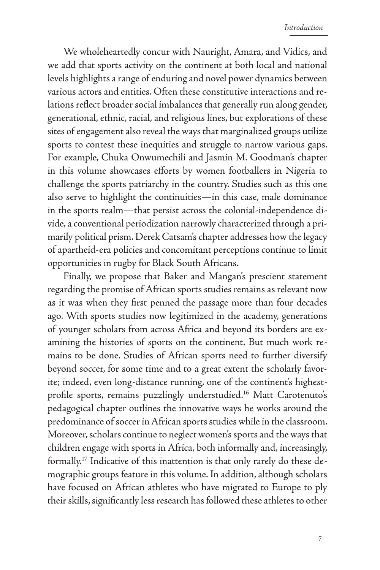We wholeheartedly concur with Nauright, Amara, and Vidics, and we add that sports activity on the continent at both local and national levels highlights a range of enduring and novel power dynamics between various actors and entities. Often these constitutive interactions and relations reflect broader social imbalances that generally run along gender, generational, ethnic, racial, and religious lines, but explorations of these sites of engagement also reveal the ways that marginalized groups utilize sports to contest these inequities and struggle to narrow various gaps. For example, Chuka Onwumechili and Jasmin M. Goodman's chapter in this volume showcases efforts by women footballers in Nigeria to challenge the sports patriarchy in the country. Studies such as this one also serve to highlight the continuities—in this case, male dominance in the sports realm—that persist across the colonial-independence divide, a conventional periodization narrowly characterized through a primarily political prism. Derek Catsam's chapter addresses how the legacy of apartheid-era policies and concomitant perceptions continue to limit opportunities in rugby for Black South Africans.

Finally, we propose that Baker and Mangan's prescient statement regarding the promise of African sports studies remains as relevant now as it was when they first penned the passage more than four decades ago. With sports studies now legitimized in the academy, generations of younger scholars from across Africa and beyond its borders are examining the histories of sports on the continent. But much work remains to be done. Studies of African sports need to further diversify beyond soccer, for some time and to a great extent the scholarly favorite; indeed, even long-distance running, one of the continent's highestprofile sports, remains puzzlingly understudied.<sup>16</sup> Matt Carotenuto's pedagogical chapter outlines the innovative ways he works around the predominance of soccer in African sports studies while in the classroom. Moreover, scholars continue to neglect women's sports and the ways that children engage with sports in Africa, both informally and, increasingly, formally.17 Indicative of this inattention is that only rarely do these demographic groups feature in this volume. In addition, although scholars have focused on African athletes who have migrated to Europe to ply their skills, significantly less research has followed these athletes to other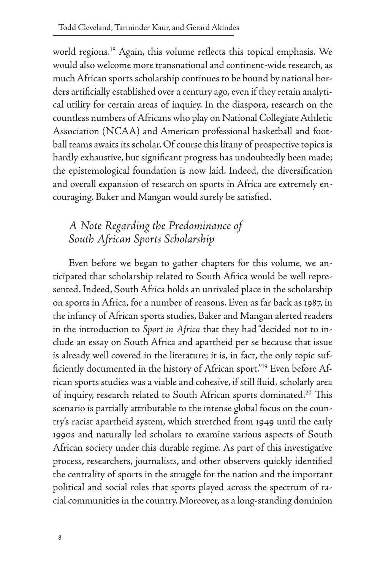world regions.<sup>18</sup> Again, this volume reflects this topical emphasis. We would also welcome more transnational and continent-wide research, as much African sports scholarship continues to be bound by national borders artificially established over a century ago, even if they retain analytical utility for certain areas of inquiry. In the diaspora, research on the countless numbers of Africans who play on National Collegiate Athletic Association (NCAA) and American professional basketball and football teams awaits its scholar. Of course this litany of prospective topics is hardly exhaustive, but significant progress has undoubtedly been made; the epistemological foundation is now laid. Indeed, the diversification and overall expansion of research on sports in Africa are extremely encouraging. Baker and Mangan would surely be satisfied.

### *A Note Regarding the Predominance of South African Sports Scholarship*

Even before we began to gather chapters for this volume, we anticipated that scholarship related to South Africa would be well represented. Indeed, South Africa holds an unrivaled place in the scholarship on sports in Africa, for a number of reasons. Even as far back as 1987, in the infancy of African sports studies, Baker and Mangan alerted readers in the introduction to *Sport in Africa* that they had "decided not to include an essay on South Africa and apartheid per se because that issue is already well covered in the literature; it is, in fact, the only topic sufficiently documented in the history of African sport."19 Even before African sports studies was a viable and cohesive, if still fluid, scholarly area of inquiry, research related to South African sports dominated.<sup>20</sup> This scenario is partially attributable to the intense global focus on the country's racist apartheid system, which stretched from 1949 until the early 1990s and naturally led scholars to examine various aspects of South African society under this durable regime. As part of this investigative process, researchers, journalists, and other observers quickly identified the centrality of sports in the struggle for the nation and the important political and social roles that sports played across the spectrum of racial communities in the country. Moreover, as a long-standing dominion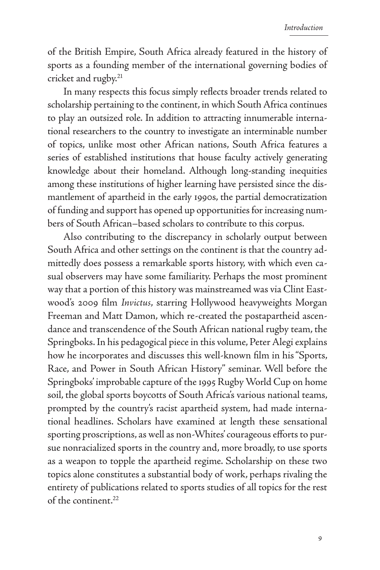of the British Empire, South Africa already featured in the history of sports as a founding member of the international governing bodies of cricket and rugby.<sup>21</sup>

In many respects this focus simply reflects broader trends related to scholarship pertaining to the continent, in which South Africa continues to play an outsized role. In addition to attracting innumerable international researchers to the country to investigate an interminable number of topics, unlike most other African nations, South Africa features a series of established institutions that house faculty actively generating knowledge about their homeland. Although long-standing inequities among these institutions of higher learning have persisted since the dismantlement of apartheid in the early 1990s, the partial democratization of funding and support has opened up opportunities for increasing numbers of South African–based scholars to contribute to this corpus.

Also contributing to the discrepancy in scholarly output between South Africa and other settings on the continent is that the country admittedly does possess a remarkable sports history, with which even casual observers may have some familiarity. Perhaps the most prominent way that a portion of this history was mainstreamed was via Clint Eastwood's 2009 film *Invictus*, starring Hollywood heavyweights Morgan Freeman and Matt Damon, which re-created the postapartheid ascendance and transcendence of the South African national rugby team, the Springboks. In his pedagogical piece in this volume, Peter Alegi explains how he incorporates and discusses this well-known film in his "Sports, Race, and Power in South African History" seminar. Well before the Springboks' improbable capture of the 1995 Rugby World Cup on home soil, the global sports boycotts of South Africa's various national teams, prompted by the country's racist apartheid system, had made international headlines. Scholars have examined at length these sensational sporting proscriptions, as well as non-Whites' courageous efforts to pursue nonracialized sports in the country and, more broadly, to use sports as a weapon to topple the apartheid regime. Scholarship on these two topics alone constitutes a substantial body of work, perhaps rivaling the entirety of publications related to sports studies of all topics for the rest of the continent.<sup>22</sup>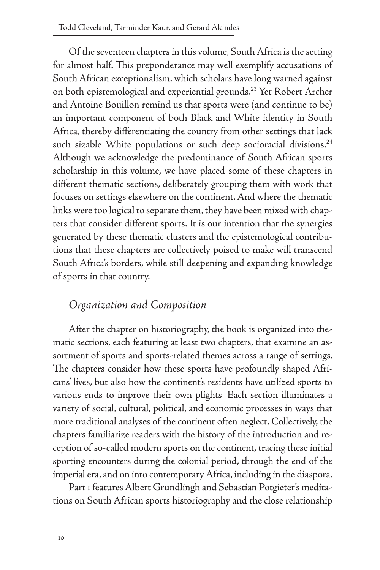Of the seventeen chapters in this volume, South Africa is the setting for almost half. This preponderance may well exemplify accusations of South African exceptionalism, which scholars have long warned against on both epistemological and experiential grounds.<sup>23</sup> Yet Robert Archer and Antoine Bouillon remind us that sports were (and continue to be) an important component of both Black and White identity in South Africa, thereby differentiating the country from other settings that lack such sizable White populations or such deep socioracial divisions.<sup>24</sup> Although we acknowledge the predominance of South African sports scholarship in this volume, we have placed some of these chapters in different thematic sections, deliberately grouping them with work that focuses on settings elsewhere on the continent. And where the thematic links were too logical to separate them, they have been mixed with chapters that consider different sports. It is our intention that the synergies generated by these thematic clusters and the epistemological contributions that these chapters are collectively poised to make will transcend South Africa's borders, while still deepening and expanding knowledge of sports in that country.

#### *Organization and Composition*

After the chapter on historiography, the book is organized into thematic sections, each featuring at least two chapters, that examine an assortment of sports and sports-related themes across a range of settings. The chapters consider how these sports have profoundly shaped Africans' lives, but also how the continent's residents have utilized sports to various ends to improve their own plights. Each section illuminates a variety of social, cultural, political, and economic processes in ways that more traditional analyses of the continent often neglect. Collectively, the chapters familiarize readers with the history of the introduction and reception of so-called modern sports on the continent, tracing these initial sporting encounters during the colonial period, through the end of the imperial era, and on into contemporary Africa, including in the diaspora.

Part 1 features Albert Grundlingh and Sebastian Potgieter's meditations on South African sports historiography and the close relationship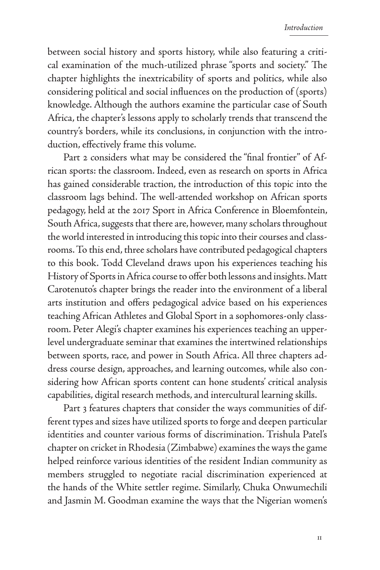between social history and sports history, while also featuring a critical examination of the much-utilized phrase "sports and society." The chapter highlights the inextricability of sports and politics, while also considering political and social influences on the production of (sports) knowledge. Although the authors examine the particular case of South Africa, the chapter's lessons apply to scholarly trends that transcend the country's borders, while its conclusions, in conjunction with the introduction, effectively frame this volume.

Part 2 considers what may be considered the "final frontier" of African sports: the classroom. Indeed, even as research on sports in Africa has gained considerable traction, the introduction of this topic into the classroom lags behind. The well-attended workshop on African sports pedagogy, held at the 2017 Sport in Africa Conference in Bloemfontein, South Africa, suggests that there are, however, many scholars throughout the world interested in introducing this topic into their courses and classrooms. To this end, three scholars have contributed pedagogical chapters to this book. Todd Cleveland draws upon his experiences teaching his History of Sports in Africa course to offer both lessons and insights. Matt Carotenuto's chapter brings the reader into the environment of a liberal arts institution and offers pedagogical advice based on his experiences teaching African Athletes and Global Sport in a sophomores-only classroom. Peter Alegi's chapter examines his experiences teaching an upperlevel undergraduate seminar that examines the intertwined relationships between sports, race, and power in South Africa. All three chapters address course design, approaches, and learning outcomes, while also considering how African sports content can hone students' critical analysis capabilities, digital research methods, and intercultural learning skills.

Part 3 features chapters that consider the ways communities of different types and sizes have utilized sports to forge and deepen particular identities and counter various forms of discrimination. Trishula Patel's chapter on cricket in Rhodesia (Zimbabwe) examines the ways the game helped reinforce various identities of the resident Indian community as members struggled to negotiate racial discrimination experienced at the hands of the White settler regime. Similarly, Chuka Onwumechili and Jasmin M. Goodman examine the ways that the Nigerian women's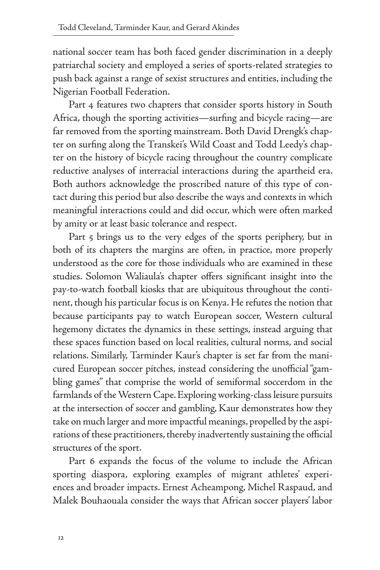national soccer team has both faced gender discrimination in a deeply patriarchal society and employed a series of sports-related strategies to push back against a range of sexist structures and entities, including the Nigerian Football Federation.

Part 4 features two chapters that consider sports history in South Africa, though the sporting activities—surfing and bicycle racing—are far removed from the sporting mainstream. Both David Drengk's chapter on surfing along the Transkei's Wild Coast and Todd Leedy's chapter on the history of bicycle racing throughout the country complicate reductive analyses of interracial interactions during the apartheid era. Both authors acknowledge the proscribed nature of this type of contact during this period but also describe the ways and contexts in which meaningful interactions could and did occur, which were often marked by amity or at least basic tolerance and respect.

Part 5 brings us to the very edges of the sports periphery, but in both of its chapters the margins are often, in practice, more properly understood as the core for those individuals who are examined in these studies. Solomon Waliaula's chapter offers significant insight into the pay-to-watch football kiosks that are ubiquitous throughout the continent, though his particular focus is on Kenya. He refutes the notion that because participants pay to watch European soccer, Western cultural hegemony dictates the dynamics in these settings, instead arguing that these spaces function based on local realities, cultural norms, and social relations. Similarly, Tarminder Kaur's chapter is set far from the manicured European soccer pitches, instead considering the unofficial "gambling games" that comprise the world of semiformal soccerdom in the farmlands of the Western Cape. Exploring working-class leisure pursuits at the intersection of soccer and gambling, Kaur demonstrates how they take on much larger and more impactful meanings, propelled by the aspirations of these practitioners, thereby inadvertently sustaining the official structures of the sport.

Part 6 expands the focus of the volume to include the African sporting diaspora, exploring examples of migrant athletes' experiences and broader impacts. Ernest Acheampong, Michel Raspaud, and Malek Bouhaouala consider the ways that African soccer players' labor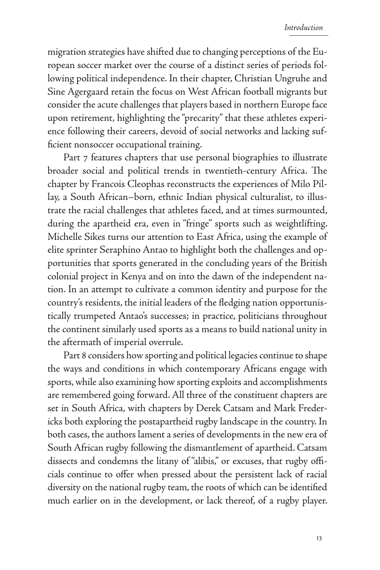migration strategies have shifted due to changing perceptions of the European soccer market over the course of a distinct series of periods following political independence. In their chapter, Christian Ungruhe and Sine Agergaard retain the focus on West African football migrants but consider the acute challenges that players based in northern Europe face upon retirement, highlighting the "precarity" that these athletes experience following their careers, devoid of social networks and lacking sufficient nonsoccer occupational training.

Part 7 features chapters that use personal biographies to illustrate broader social and political trends in twentieth-century Africa. The chapter by Francois Cleophas reconstructs the experiences of Milo Pillay, a South African–born, ethnic Indian physical culturalist, to illustrate the racial challenges that athletes faced, and at times surmounted, during the apartheid era, even in "fringe" sports such as weightlifting. Michelle Sikes turns our attention to East Africa, using the example of elite sprinter Seraphino Antao to highlight both the challenges and opportunities that sports generated in the concluding years of the British colonial project in Kenya and on into the dawn of the independent nation. In an attempt to cultivate a common identity and purpose for the country's residents, the initial leaders of the fledging nation opportunistically trumpeted Antao's successes; in practice, politicians throughout the continent similarly used sports as a means to build national unity in the aftermath of imperial overrule.

Part 8 considers how sporting and political legacies continue to shape the ways and conditions in which contemporary Africans engage with sports, while also examining how sporting exploits and accomplishments are remembered going forward. All three of the constituent chapters are set in South Africa, with chapters by Derek Catsam and Mark Fredericks both exploring the postapartheid rugby landscape in the country. In both cases, the authors lament a series of developments in the new era of South African rugby following the dismantlement of apartheid. Catsam dissects and condemns the litany of "alibis," or excuses, that rugby officials continue to offer when pressed about the persistent lack of racial diversity on the national rugby team, the roots of which can be identified much earlier on in the development, or lack thereof, of a rugby player.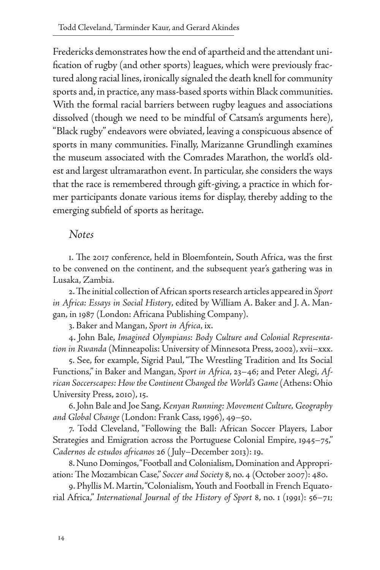Fredericks demonstrates how the end of apartheid and the attendant unification of rugby (and other sports) leagues, which were previously fractured along racial lines, ironically signaled the death knell for community sports and, in practice, any mass-based sports within Black communities. With the formal racial barriers between rugby leagues and associations dissolved (though we need to be mindful of Catsam's arguments here), "Black rugby" endeavors were obviated, leaving a conspicuous absence of sports in many communities. Finally, Marizanne Grundlingh examines the museum associated with the Comrades Marathon, the world's oldest and largest ultramarathon event. In particular, she considers the ways that the race is remembered through gift-giving, a practice in which former participants donate various items for display, thereby adding to the emerging subfield of sports as heritage.

#### *Notes*

1. The 2017 conference, held in Bloemfontein, South Africa, was the first to be convened on the continent, and the subsequent year's gathering was in Lusaka, Zambia.

2. The initial collection of African sports research articles appeared in *Sport in Africa: Essays in Social History*, edited by William A. Baker and J. A. Mangan, in 1987 (London: Africana Publishing Company).

3. Baker and Mangan, *Sport in Africa*, ix.

4. John Bale, *Imagined Olympians: Body Culture and Colonial Representation in Rwanda* (Minneapolis: University of Minnesota Press, 2002), xvii–xxx.

5. See, for example, Sigrid Paul, "The Wrestling Tradition and Its Social Functions," in Baker and Mangan, *Sport in Africa*, 23–46; and Peter Alegi, *African Soccerscapes: How the Continent Changed the World's Game* (Athens: Ohio University Press, 2010), 15.

6. John Bale and Joe Sang, *Kenyan Running: Movement Culture, Geography and Global Change* (London: Frank Cass, 1996), 49–50.

7. Todd Cleveland, "Following the Ball: African Soccer Players, Labor Strategies and Emigration across the Portuguese Colonial Empire, 1945–75," *Cadernos de estudos africanos* 26 ( July–December 2013): 19.

8. Nuno Domingos, "Football and Colonialism, Domination and Appropriation: The Mozambican Case," *Soccer and Society* 8, no. 4 (October 2007): 480.

9. Phyllis M. Martin, "Colonialism, Youth and Football in French Equatorial Africa," *International Journal of the History of Sport* 8, no. 1 (1991): 56–71;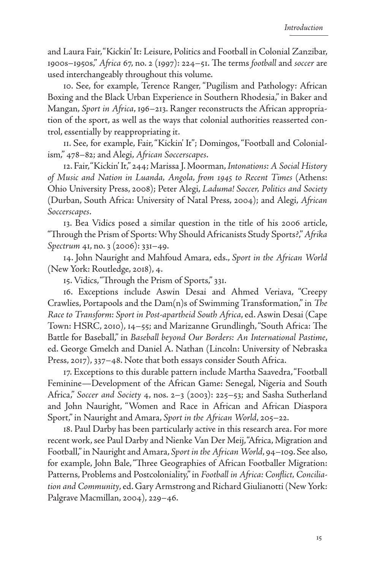and Laura Fair, "Kickin' It: Leisure, Politics and Football in Colonial Zanzibar, 1900s–1950s," *Africa* 67, no. 2 (1997): 224–51. The terms *football* and *soccer* are used interchangeably throughout this volume.

10. See, for example, Terence Ranger, "Pugilism and Pathology: African Boxing and the Black Urban Experience in Southern Rhodesia," in Baker and Mangan, *Sport in Africa*, 196–213. Ranger reconstructs the African appropriation of the sport, as well as the ways that colonial authorities reasserted control, essentially by reappropriating it.

11. See, for example, Fair, "Kickin' It"; Domingos, "Football and Colonialism," 478–82; and Alegi, *African Soccerscapes*.

12. Fair, "Kickin' It," 244; Marissa J. Moorman, *Intonations: A Social History of Music and Nation in Luanda, Angola, from 1945 to Recent Times* (Athens: Ohio University Press, 2008); Peter Alegi, *Laduma! Soccer, Politics and Society* (Durban, South Africa: University of Natal Press, 2004); and Alegi, *African Soccerscapes*.

13. Bea Vidics posed a similar question in the title of his 2006 article, "Through the Prism of Sports: Why Should Africanists Study Sports?," *Afrika Spectrum* 41, no. 3 (2006): 331–49.

14. John Nauright and Mahfoud Amara, eds., *Sport in the African World* (New York: Routledge, 2018), 4.

15. Vidics, "Through the Prism of Sports," 331.

16. Exceptions include Aswin Desai and Ahmed Veriava, "Creepy Crawlies, Portapools and the Dam(n)s of Swimming Transformation," in *The Race to Transform: Sport in Post-apartheid South Africa*, ed. Aswin Desai (Cape Town: HSRC, 2010), 14–55; and Marizanne Grundlingh, "South Africa: The Battle for Baseball," in *Baseball beyond Our Borders: An International Pastime*, ed. George Gmelch and Daniel A. Nathan (Lincoln: University of Nebraska Press, 2017), 337–48. Note that both essays consider South Africa.

17. Exceptions to this durable pattern include Martha Saavedra, "Football Feminine—Development of the African Game: Senegal, Nigeria and South Africa," *Soccer and Society* 4, nos. 2–3 (2003): 225–53; and Sasha Sutherland and John Nauright, "Women and Race in African and African Diaspora Sport," in Nauright and Amara, *Sport in the African World*, 205–22.

18. Paul Darby has been particularly active in this research area. For more recent work, see Paul Darby and Nienke Van Der Meij, "Africa, Migration and Football," in Nauright and Amara, *Sport in the African World*, 94–109. See also, for example, John Bale, "Three Geographies of African Footballer Migration: Patterns, Problems and Postcoloniality," in *Football in Africa: Conflict, Conciliation and Community*, ed. Gary Armstrong and Richard Giulianotti (New York: Palgrave Macmillan, 2004), 229–46.